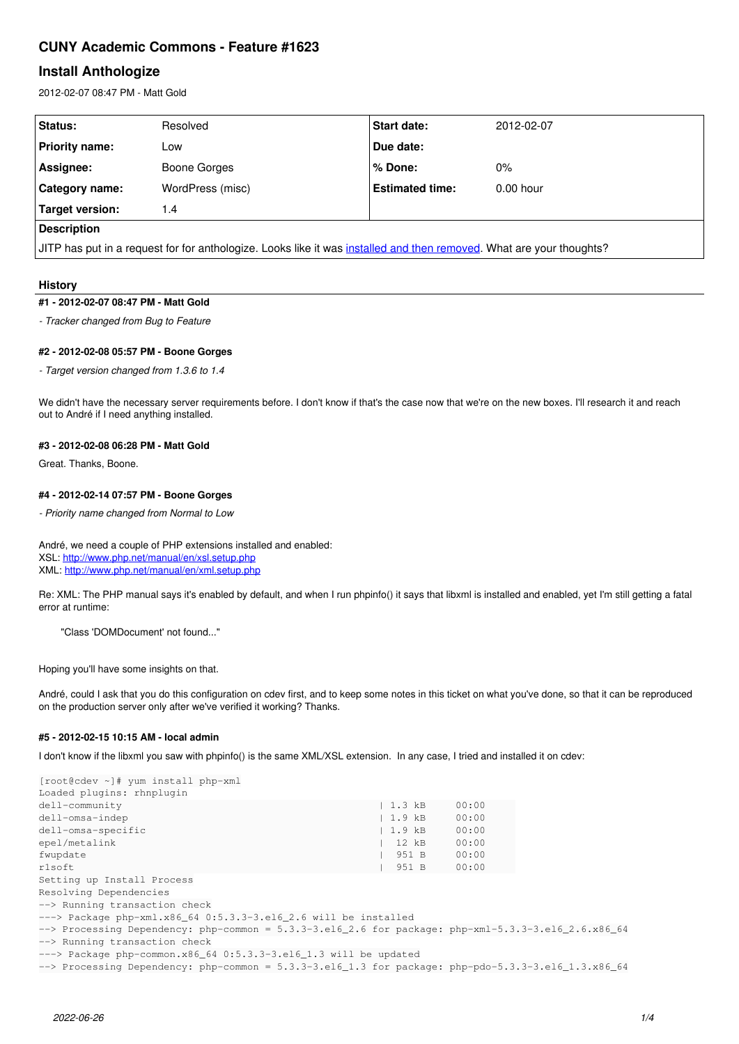# **CUNY Academic Commons - Feature #1623**

# **Install Anthologize**

2012-02-07 08:47 PM - Matt Gold

| Status:                                                                                                              | Resolved         | <b>Start date:</b>     | 2012-02-07  |  |  |  |
|----------------------------------------------------------------------------------------------------------------------|------------------|------------------------|-------------|--|--|--|
| <b>Priority name:</b>                                                                                                | Low              | Due date:              |             |  |  |  |
| Assignee:                                                                                                            | Boone Gorges     | % Done:                | $0\%$       |  |  |  |
| Category name:                                                                                                       | WordPress (misc) | <b>Estimated time:</b> | $0.00$ hour |  |  |  |
| Target version:                                                                                                      | 1.4              |                        |             |  |  |  |
| <b>Description</b>                                                                                                   |                  |                        |             |  |  |  |
| JITP has put in a request for for anthologize. Looks like it was installed and then removed. What are your thoughts? |                  |                        |             |  |  |  |

# **History**

# **#1 - 2012-02-07 08:47 PM - Matt Gold**

*- Tracker changed from Bug to Feature*

### **#2 - 2012-02-08 05:57 PM - Boone Gorges**

*- Target version changed from 1.3.6 to 1.4*

We didn't have the necessary server requirements before. I don't know if that's the case now that we're on the new boxes. I'll research it and reach out to André if I need anything installed.

### **#3 - 2012-02-08 06:28 PM - Matt Gold**

Great. Thanks, Boone.

# **#4 - 2012-02-14 07:57 PM - Boone Gorges**

*- Priority name changed from Normal to Low*

André, we need a couple of PHP extensions installed and enabled: XSL: <http://www.php.net/manual/en/xsl.setup.php> XML:<http://www.php.net/manual/en/xml.setup.php>

Re: XML: The PHP manual says it's enabled by default, and when I run phpinfo() it says that libxml is installed and enabled, yet I'm still getting a fatal error at runtime:

"Class 'DOMDocument' not found..."

Hoping you'll have some insights on that.

André, could I ask that you do this configuration on cdev first, and to keep some notes in this ticket on what you've done, so that it can be reproduced on the production server only after we've verified it working? Thanks.

# **#5 - 2012-02-15 10:15 AM - local admin**

I don't know if the libxml you saw with phpinfo() is the same XML/XSL extension. In any case, I tried and installed it on cdev:

| [root@cdev ~]# yum install php-xml                                                                            |           |       |  |
|---------------------------------------------------------------------------------------------------------------|-----------|-------|--|
| Loaded plugins: rhnplugin                                                                                     |           |       |  |
| dell-community                                                                                                | 1.3 kB    | 00:00 |  |
| dell-omsa-indep                                                                                               | 1.9 kB    | 00:00 |  |
| dell-omsa-specific                                                                                            | 1.9 kB    | 00:00 |  |
| epel/metalink                                                                                                 | $12$ $kB$ | 00:00 |  |
| fwupdate                                                                                                      | 951 B     | 00:00 |  |
| rlsoft                                                                                                        | 951 B     | 00:00 |  |
| Setting up Install Process                                                                                    |           |       |  |
| Resolving Dependencies                                                                                        |           |       |  |
| --> Running transaction check                                                                                 |           |       |  |
| $---$ Package php-xml.x86 64 0:5.3.3-3.el6 2.6 will be installed                                              |           |       |  |
| $\rightarrow$ Processing Dependency: php-common = 5.3.3-3.el6_2.6 for package: php-xml-5.3.3-3.el6_2.6.x86_64 |           |       |  |
| --> Running transaction check                                                                                 |           |       |  |
| $---$ Package php-common.x86 64 0:5.3.3-3.el6 1.3 will be updated                                             |           |       |  |
| --> Processing Dependency: php-common = $5.3.3-3.16-1.3$ for package: php-pdo-5.3.3-3.16 -1.3.x86 64          |           |       |  |
|                                                                                                               |           |       |  |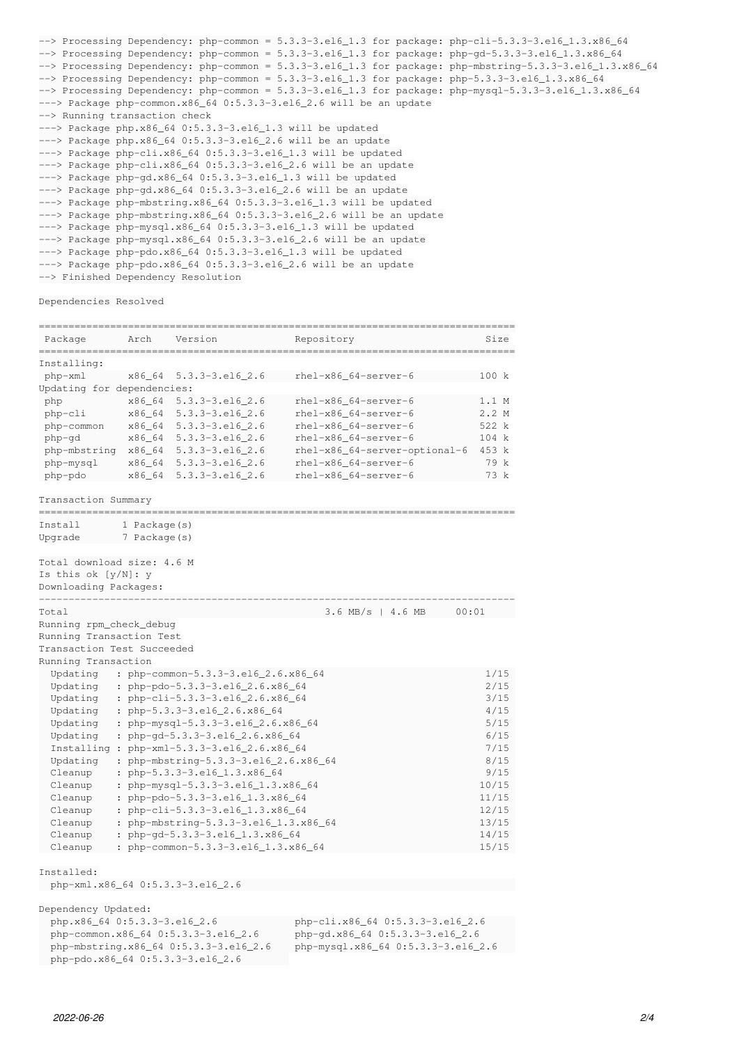```
--> Processing Dependency: php-common = 5.3.3-3.el6_1.3 for package: php-cli-5.3.3-3.el6_1.3.x86_64
--> Processing Dependency: php-common = 5.3.3-3.el6_1.3 for package: php-gd-5.3.3-3.el6_1.3.x86_64
--> Processing Dependency: php-common = 5.3.3-3.el6_1.3 for package: php-mbstring-5.3.3-3.el6_1.3.x86_64
\rightarrow Processing Dependency: php-common = 5.3.3-3.el6_1.3 for package: php-5.3.3-3.el6_1.3.x86_64
--> Processing Dependency: php-common = 5.3.3-3.el6_1.3 for package: php-mysql-5.3.3-3.el6_1.3.x86_64
---> Package php-common.x86_64 0:5.3.3-3.el6_2.6 will be an update
--> Running transaction check
---> Package php.x86_64 0:5.3.3-3.el6_1.3 will be updated
---> Package php.x86_64 0:5.3.3-3.el6_2.6 will be an update
---> Package php-cli.x86_64 0:5.3.3-3.el6_1.3 will be updated
---> Package php-cli.x86_64 0:5.3.3-3.el6_2.6 will be an update
---> Package php-gd.x86_64 0:5.3.3-3.el6_1.3 will be updated
---> Package php-gd.x86_64 0:5.3.3-3.el6_2.6 will be an update
---> Package php-mbstring.x86 64 0:5.3.3-3.el6 1.3 will be updated
---> Package php-mbstring.x86_64 0:5.3.3-3.el6_2.6 will be an update
---> Package php-mysql.x86 64 0:5.3.3-3.el6 1.3 will be updated
---> Package php-mysql.x86_64 0:5.3.3-3.el6_2.6 will be an update
---> Package php-pdo.x86_64 0:5.3.3-3.el6_1.3 will be updated
---> Package php-pdo.x86_64 0:5.3.3-3.el6_2.6 will be an update
--> Finished Dependency Resolution
```
Dependencies Resolved

| Installing:<br>php-xml<br>x86_64<br>$5.3.3 - 3.16 - 2.6$<br>Updating for dependencies:<br>x86_64<br>$5.3.3 - 3.el6_2.6$<br>php<br>php-cli<br>x86_64<br>$5.3.3 - 3.16 - 2.6$<br>php-common<br>x86_64<br>$5.3.3 - 3.16 - 2.6$<br>x86_64<br>php-qd<br>$5.3.3 - 3.16 - 2.6$<br>php-mbstring<br>x86_64<br>$5.3.3 - 3.el6_2.6$<br>php-mysql<br>x86_64<br>$5.3.3 - 3.el6_2.6$<br>php-pdo<br>x86_64<br>$5.3.3 - 3.16 - 2.6$<br>Transaction Summary<br>------------<br>Tnstall<br>$1$ Package(s)<br>Upqrade<br>7 Package (s)<br>Total download size: 4.6 M<br>Is this ok $[y/N]$ : y<br>Downloading Packages:<br>Total<br>Running rpm_check_debug<br>Running Transaction Test<br>Transaction Test Succeeded<br>Running Transaction<br>Updating<br>: php-common-5.3.3-3.el6_2.6.x86_64<br>: php-pdo-5.3.3-3.el6_2.6.x86_64<br>Updating<br>Updating<br>: php-cli-5.3.3-3.el6_2.6.x86_64<br>Updating<br>: php-5.3.3-3.el6_2.6.x86_64<br>: php-mysql-5.3.3-3.el6_2.6.x86_64<br>Updating<br>Updating<br>: php-gd-5.3.3-3.el6_2.6.x86_64<br>Installing : php-xml-5.3.3-3.el6_2.6.x86_64<br>Updating<br>Cleanup<br>: php-5.3.3-3.el6_1.3.x86_64 | rhel-x86_64-server-6<br>rhel-x86_64-server-6<br>$rhe1-x86_64-server-6$<br>rhel-x86_64-server-6<br>rhel-x86 64-server-6 | 100 k<br>1.1 M |  |
|---------------------------------------------------------------------------------------------------------------------------------------------------------------------------------------------------------------------------------------------------------------------------------------------------------------------------------------------------------------------------------------------------------------------------------------------------------------------------------------------------------------------------------------------------------------------------------------------------------------------------------------------------------------------------------------------------------------------------------------------------------------------------------------------------------------------------------------------------------------------------------------------------------------------------------------------------------------------------------------------------------------------------------------------------------------------------------------------------------------------------------|------------------------------------------------------------------------------------------------------------------------|----------------|--|
|                                                                                                                                                                                                                                                                                                                                                                                                                                                                                                                                                                                                                                                                                                                                                                                                                                                                                                                                                                                                                                                                                                                                 |                                                                                                                        |                |  |
|                                                                                                                                                                                                                                                                                                                                                                                                                                                                                                                                                                                                                                                                                                                                                                                                                                                                                                                                                                                                                                                                                                                                 |                                                                                                                        |                |  |
|                                                                                                                                                                                                                                                                                                                                                                                                                                                                                                                                                                                                                                                                                                                                                                                                                                                                                                                                                                                                                                                                                                                                 |                                                                                                                        |                |  |
|                                                                                                                                                                                                                                                                                                                                                                                                                                                                                                                                                                                                                                                                                                                                                                                                                                                                                                                                                                                                                                                                                                                                 |                                                                                                                        |                |  |
|                                                                                                                                                                                                                                                                                                                                                                                                                                                                                                                                                                                                                                                                                                                                                                                                                                                                                                                                                                                                                                                                                                                                 |                                                                                                                        | 2.2M           |  |
|                                                                                                                                                                                                                                                                                                                                                                                                                                                                                                                                                                                                                                                                                                                                                                                                                                                                                                                                                                                                                                                                                                                                 |                                                                                                                        | 522 k          |  |
|                                                                                                                                                                                                                                                                                                                                                                                                                                                                                                                                                                                                                                                                                                                                                                                                                                                                                                                                                                                                                                                                                                                                 |                                                                                                                        | 104 k          |  |
|                                                                                                                                                                                                                                                                                                                                                                                                                                                                                                                                                                                                                                                                                                                                                                                                                                                                                                                                                                                                                                                                                                                                 | rhel-x86_64-server-optional-6                                                                                          | 453 k          |  |
|                                                                                                                                                                                                                                                                                                                                                                                                                                                                                                                                                                                                                                                                                                                                                                                                                                                                                                                                                                                                                                                                                                                                 | rhel-x86_64-server-6                                                                                                   | 79 k           |  |
|                                                                                                                                                                                                                                                                                                                                                                                                                                                                                                                                                                                                                                                                                                                                                                                                                                                                                                                                                                                                                                                                                                                                 | rhel-x86 64-server-6                                                                                                   | 73 k           |  |
|                                                                                                                                                                                                                                                                                                                                                                                                                                                                                                                                                                                                                                                                                                                                                                                                                                                                                                                                                                                                                                                                                                                                 |                                                                                                                        |                |  |
|                                                                                                                                                                                                                                                                                                                                                                                                                                                                                                                                                                                                                                                                                                                                                                                                                                                                                                                                                                                                                                                                                                                                 |                                                                                                                        |                |  |
|                                                                                                                                                                                                                                                                                                                                                                                                                                                                                                                                                                                                                                                                                                                                                                                                                                                                                                                                                                                                                                                                                                                                 |                                                                                                                        |                |  |
|                                                                                                                                                                                                                                                                                                                                                                                                                                                                                                                                                                                                                                                                                                                                                                                                                                                                                                                                                                                                                                                                                                                                 | $3.6$ MB/s   4.6 MB<br>00:01                                                                                           |                |  |
|                                                                                                                                                                                                                                                                                                                                                                                                                                                                                                                                                                                                                                                                                                                                                                                                                                                                                                                                                                                                                                                                                                                                 |                                                                                                                        |                |  |
|                                                                                                                                                                                                                                                                                                                                                                                                                                                                                                                                                                                                                                                                                                                                                                                                                                                                                                                                                                                                                                                                                                                                 |                                                                                                                        |                |  |
|                                                                                                                                                                                                                                                                                                                                                                                                                                                                                                                                                                                                                                                                                                                                                                                                                                                                                                                                                                                                                                                                                                                                 |                                                                                                                        |                |  |
|                                                                                                                                                                                                                                                                                                                                                                                                                                                                                                                                                                                                                                                                                                                                                                                                                                                                                                                                                                                                                                                                                                                                 |                                                                                                                        |                |  |
|                                                                                                                                                                                                                                                                                                                                                                                                                                                                                                                                                                                                                                                                                                                                                                                                                                                                                                                                                                                                                                                                                                                                 |                                                                                                                        | 1/15           |  |
|                                                                                                                                                                                                                                                                                                                                                                                                                                                                                                                                                                                                                                                                                                                                                                                                                                                                                                                                                                                                                                                                                                                                 |                                                                                                                        | 2/15           |  |
|                                                                                                                                                                                                                                                                                                                                                                                                                                                                                                                                                                                                                                                                                                                                                                                                                                                                                                                                                                                                                                                                                                                                 |                                                                                                                        | 3/15           |  |
|                                                                                                                                                                                                                                                                                                                                                                                                                                                                                                                                                                                                                                                                                                                                                                                                                                                                                                                                                                                                                                                                                                                                 |                                                                                                                        | 4/15           |  |
|                                                                                                                                                                                                                                                                                                                                                                                                                                                                                                                                                                                                                                                                                                                                                                                                                                                                                                                                                                                                                                                                                                                                 |                                                                                                                        | 5/15           |  |
|                                                                                                                                                                                                                                                                                                                                                                                                                                                                                                                                                                                                                                                                                                                                                                                                                                                                                                                                                                                                                                                                                                                                 |                                                                                                                        |                |  |
|                                                                                                                                                                                                                                                                                                                                                                                                                                                                                                                                                                                                                                                                                                                                                                                                                                                                                                                                                                                                                                                                                                                                 |                                                                                                                        |                |  |
|                                                                                                                                                                                                                                                                                                                                                                                                                                                                                                                                                                                                                                                                                                                                                                                                                                                                                                                                                                                                                                                                                                                                 | : php-mbstring-5.3.3-3.el6_2.6.x86_64                                                                                  |                |  |
|                                                                                                                                                                                                                                                                                                                                                                                                                                                                                                                                                                                                                                                                                                                                                                                                                                                                                                                                                                                                                                                                                                                                 |                                                                                                                        |                |  |
| : php-mysql-5.3.3-3.el6_1.3.x86_64<br>Cleanup                                                                                                                                                                                                                                                                                                                                                                                                                                                                                                                                                                                                                                                                                                                                                                                                                                                                                                                                                                                                                                                                                   |                                                                                                                        |                |  |
| Cleanup<br>: php-pdo-5.3.3-3.el6_1.3.x86_64                                                                                                                                                                                                                                                                                                                                                                                                                                                                                                                                                                                                                                                                                                                                                                                                                                                                                                                                                                                                                                                                                     |                                                                                                                        |                |  |
| Cleanup                                                                                                                                                                                                                                                                                                                                                                                                                                                                                                                                                                                                                                                                                                                                                                                                                                                                                                                                                                                                                                                                                                                         | : php-cli-5.3.3-3.el6_1.3.x86_64                                                                                       |                |  |
| : php-mbstring-5.3.3-3.el6_1.3.x86_64<br>Cleanup                                                                                                                                                                                                                                                                                                                                                                                                                                                                                                                                                                                                                                                                                                                                                                                                                                                                                                                                                                                                                                                                                |                                                                                                                        | 13/15          |  |
| Cleanup<br>: php-gd-5.3.3-3.el6_1.3.x86_64                                                                                                                                                                                                                                                                                                                                                                                                                                                                                                                                                                                                                                                                                                                                                                                                                                                                                                                                                                                                                                                                                      |                                                                                                                        | 14/15          |  |
| : php-common-5.3.3-3.el6_1.3.x86_64<br>Cleanup                                                                                                                                                                                                                                                                                                                                                                                                                                                                                                                                                                                                                                                                                                                                                                                                                                                                                                                                                                                                                                                                                  |                                                                                                                        | 15/15          |  |

php-xml.x86\_64 0:5.3.3-3.el6\_2.6

Dependency Updated:

 php.x86\_64 0:5.3.3-3.el6\_2.6 php-cli.x86\_64 0:5.3.3-3.el6\_2.6 php-common.x86\_64 0:5.3.3-3.el6\_2.6 php-gd.x86\_64 0:5.3.3-3.el6\_2.6 php-mbstring.x86\_64 0:5.3.3-3.el6\_2.6 php-mysql.x86\_64 0:5.3.3-3.el6\_2.6 php-mysql.x86\_64 0:5.3.3-3.el6\_2.6 php-pdo.x86\_64 0:5.3.3-3.el6\_2.6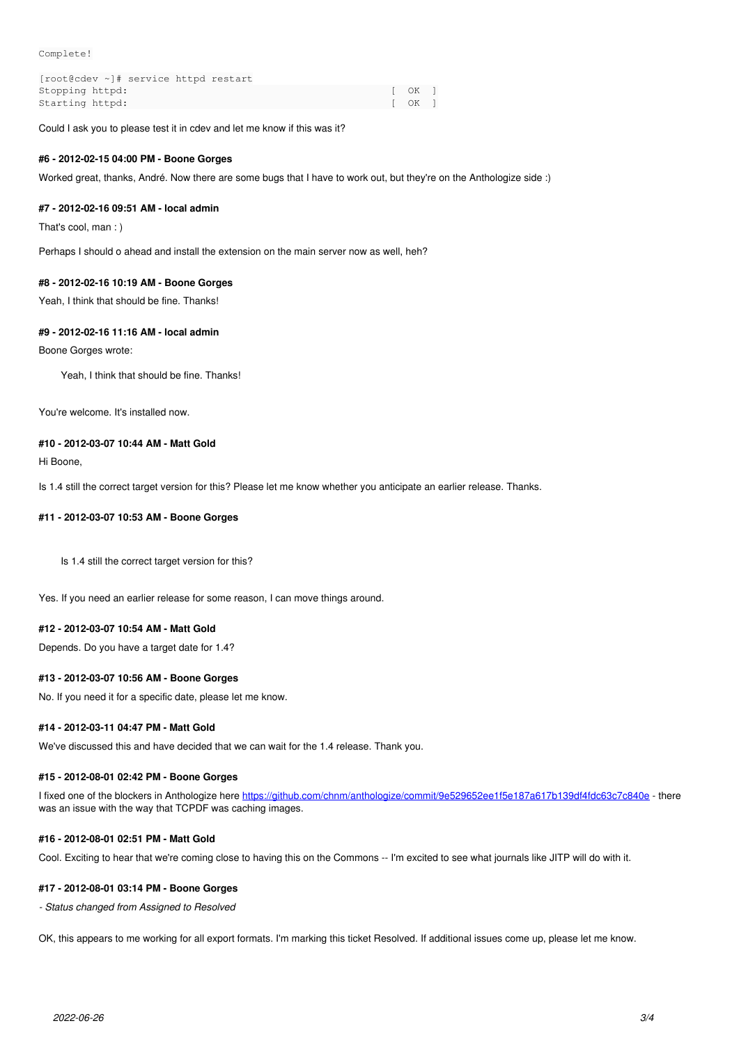Complete!

| [root@cdev ~]# service httpd restart |        |  |
|--------------------------------------|--------|--|
| Stopping httpd:                      | I OK I |  |
| Starting httpd:                      | I OK I |  |

Could I ask you to please test it in cdev and let me know if this was it?

#### **#6 - 2012-02-15 04:00 PM - Boone Gorges**

Worked great, thanks, André. Now there are some bugs that I have to work out, but they're on the Anthologize side :)

#### **#7 - 2012-02-16 09:51 AM - local admin**

That's cool, man : )

Perhaps I should o ahead and install the extension on the main server now as well, heh?

### **#8 - 2012-02-16 10:19 AM - Boone Gorges**

Yeah, I think that should be fine. Thanks!

#### **#9 - 2012-02-16 11:16 AM - local admin**

Boone Gorges wrote:

Yeah, I think that should be fine. Thanks!

You're welcome. It's installed now.

### **#10 - 2012-03-07 10:44 AM - Matt Gold**

Hi Boone,

Is 1.4 still the correct target version for this? Please let me know whether you anticipate an earlier release. Thanks.

#### **#11 - 2012-03-07 10:53 AM - Boone Gorges**

Is 1.4 still the correct target version for this?

Yes. If you need an earlier release for some reason, I can move things around.

### **#12 - 2012-03-07 10:54 AM - Matt Gold**

Depends. Do you have a target date for 1.4?

### **#13 - 2012-03-07 10:56 AM - Boone Gorges**

No. If you need it for a specific date, please let me know.

### **#14 - 2012-03-11 04:47 PM - Matt Gold**

We've discussed this and have decided that we can wait for the 1.4 release. Thank you.

# **#15 - 2012-08-01 02:42 PM - Boone Gorges**

I fixed one of the blockers in Anthologize here<https://github.com/chnm/anthologize/commit/9e529652ee1f5e187a617b139df4fdc63c7c840e> - there was an issue with the way that TCPDF was caching images.

# **#16 - 2012-08-01 02:51 PM - Matt Gold**

Cool. Exciting to hear that we're coming close to having this on the Commons -- I'm excited to see what journals like JITP will do with it.

# **#17 - 2012-08-01 03:14 PM - Boone Gorges**

*- Status changed from Assigned to Resolved*

OK, this appears to me working for all export formats. I'm marking this ticket Resolved. If additional issues come up, please let me know.